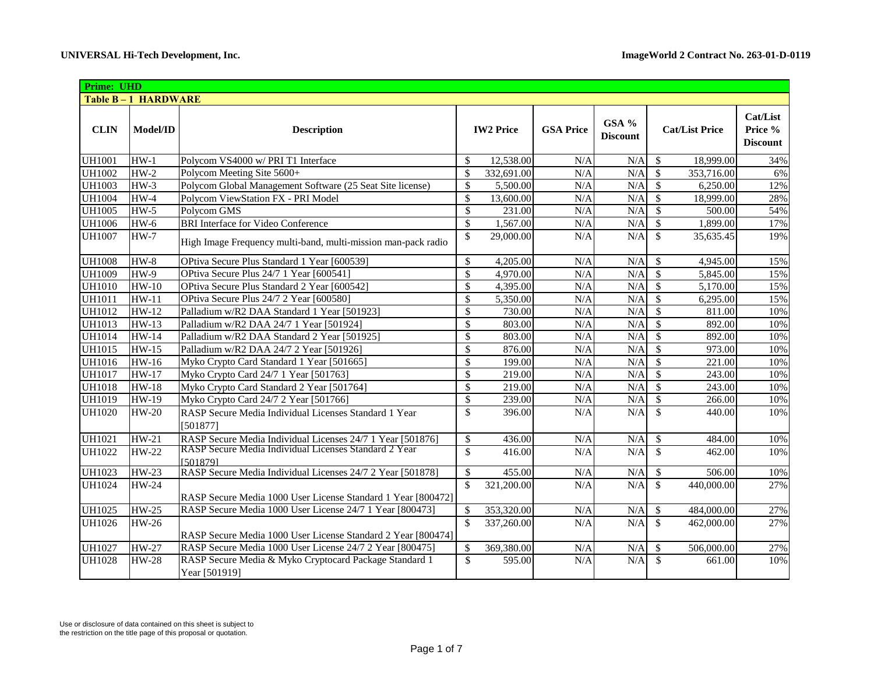| <b>Prime: UHD</b> |                    |                                                                         |                          |                  |                  |                          |                           |                       |                                        |
|-------------------|--------------------|-------------------------------------------------------------------------|--------------------------|------------------|------------------|--------------------------|---------------------------|-----------------------|----------------------------------------|
|                   | Table B-1 HARDWARE |                                                                         |                          |                  |                  |                          |                           |                       |                                        |
| <b>CLIN</b>       | Model/ID           | <b>Description</b>                                                      |                          | <b>IW2 Price</b> | <b>GSA Price</b> | GSA %<br><b>Discount</b> |                           | <b>Cat/List Price</b> | Cat/List<br>Price %<br><b>Discount</b> |
| <b>UH1001</b>     | $HW-1$             | Polycom VS4000 w/ PRI T1 Interface                                      | $\mathcal{S}$            | 12,538.00        | N/A              | N/A                      | $\mathbb{S}$              | 18,999.00             | 34%                                    |
| <b>UH1002</b>     | $HW-2$             | Polycom Meeting Site 5600+                                              | $\mathcal{S}$            | 332,691.00       | N/A              | N/A                      | $\mathcal{S}$             | 353,716.00            | 6%                                     |
| <b>UH1003</b>     | $HW-3$             | Polycom Global Management Software (25 Seat Site license)               | \$                       | 5,500.00         | N/A              | N/A                      | $\mathcal{S}$             | 6,250.00              | 12%                                    |
| <b>UH1004</b>     | $HW-4$             | Polycom ViewStation FX - PRI Model                                      | $\mathcal{S}$            | 13,600.00        | N/A              | N/A                      | $\mathcal{S}$             | 18,999.00             | 28%                                    |
| <b>UH1005</b>     | $HW-5$             | Polycom GMS                                                             | $\mathbb{S}$             | 231.00           | N/A              | N/A                      | $\mathsf{\$}$             | 500.00                | 54%                                    |
| <b>UH1006</b>     | $HW-6$             | <b>BRI</b> Interface for Video Conference                               | $\mathcal{S}$            | 1,567.00         | N/A              | N/A                      | $\mathcal{S}$             | 1,899.00              | 17%                                    |
| <b>UH1007</b>     | $HW-7$             | High Image Frequency multi-band, multi-mission man-pack radio           | \$                       | 29,000.00        | N/A              | N/A                      | $\mathcal{S}$             | 35,635.45             | 19%                                    |
| <b>UH1008</b>     | $HW-8$             | OPtiva Secure Plus Standard 1 Year [600539]                             | \$                       | 4,205.00         | N/A              | N/A                      | \$                        | 4,945.00              | 15%                                    |
| <b>UH1009</b>     | $HW-9$             | OPtiva Secure Plus 24/7 1 Year [600541]                                 | $\overline{\mathcal{S}}$ | 4,970.00         | N/A              | N/A                      | $\mathcal{S}$             | 5,845.00              | 15%                                    |
| <b>UH1010</b>     | $HW-10$            | OPtiva Secure Plus Standard 2 Year [600542]                             | \$                       | 4,395.00         | N/A              | N/A                      | $\mathcal{S}$             | 5,170.00              | 15%                                    |
| <b>UH1011</b>     | $HW-11$            | OPtiva Secure Plus 24/7 2 Year [600580]                                 | $\mathbb{S}$             | 5,350.00         | N/A              | N/A                      | $\overline{\mathcal{S}}$  | 6,295.00              | 15%                                    |
| <b>UH1012</b>     | $HW-12$            | Palladium w/R2 DAA Standard 1 Year [501923]                             | $\overline{\mathcal{S}}$ | 730.00           | N/A              | N/A                      | $\overline{\mathcal{S}}$  | 811.00                | 10%                                    |
| <b>UH1013</b>     | HW-13              | Palladium w/R2 DAA 24/7 1 Year [501924]                                 | $\mathbb{S}$             | 803.00           | N/A              | N/A                      | $\mathcal{S}$             | 892.00                | 10%                                    |
| <b>UH1014</b>     | <b>HW-14</b>       | Palladium w/R2 DAA Standard 2 Year [501925]                             | \$                       | 803.00           | N/A              | N/A                      | $\mathcal{S}$             | 892.00                | 10%                                    |
| <b>UH1015</b>     | $HW-15$            | Palladium w/R2 DAA 24/7 2 Year [501926]                                 | $\mathbb{S}$             | 876.00           | N/A              | N/A                      | $\mathbb{S}$              | 973.00                | 10%                                    |
| <b>UH1016</b>     | HW-16              | Myko Crypto Card Standard 1 Year [501665]                               | \$                       | 199.00           | N/A              | N/A                      | \$                        | 221.00                | 10%                                    |
| <b>UH1017</b>     | $HW-17$            | Myko Crypto Card 24/7 1 Year [501763]                                   | $\mathbb{S}$             | 219.00           | N/A              | N/A                      | $\mathbf{\$}$             | 243.00                | 10%                                    |
| UH1018            | <b>HW-18</b>       | Myko Crypto Card Standard 2 Year [501764]                               | \$                       | 219.00           | N/A              | N/A                      | $\mathcal{S}$             | 243.00                | 10%                                    |
| <b>UH1019</b>     | HW-19              | Myko Crypto Card 24/7 2 Year [501766]                                   | $\mathcal{S}$            | 239.00           | N/A              | N/A                      | $\mathcal{S}$             | 266.00                | 10%                                    |
| <b>UH1020</b>     | <b>HW-20</b>       | RASP Secure Media Individual Licenses Standard 1 Year<br>[501877]       | $\mathbb{S}$             | 396.00           | N/A              | N/A                      | $\mathcal{S}$             | 440.00                | 10%                                    |
| UH1021            | $HW-21$            | RASP Secure Media Individual Licenses 24/7 1 Year [501876]              | \$                       | 436.00           | N/A              | N/A                      | $\boldsymbol{\mathsf{S}}$ | 484.00                | 10%                                    |
| <b>UH1022</b>     | <b>HW-22</b>       | RASP Secure Media Individual Licenses Standard 2 Year<br>[501879]       | \$                       | 416.00           | N/A              | N/A                      | $\mathbb{S}$              | 462.00                | 10%                                    |
| UH1023            | <b>HW-23</b>       | RASP Secure Media Individual Licenses 24/7 2 Year [501878]              | $\mathcal{S}$            | 455.00           | N/A              | N/A                      | $\boldsymbol{\mathsf{S}}$ | 506.00                | 10%                                    |
| <b>UH1024</b>     | <b>HW-24</b>       | RASP Secure Media 1000 User License Standard 1 Year [800472]            | $\mathcal{S}$            | 321,200.00       | N/A              | N/A                      | $\mathcal{S}$             | 440,000.00            | 27%                                    |
| <b>UH1025</b>     | $HW-25$            | RASP Secure Media 1000 User License 24/7 1 Year [800473]                | \$                       | 353,320.00       | N/A              | N/A                      | $\sqrt{\frac{1}{2}}$      | 484,000.00            | 27%                                    |
| <b>UH1026</b>     | <b>HW-26</b>       | RASP Secure Media 1000 User License Standard 2 Year [800474]            | $\mathcal{S}$            | 337,260.00       | N/A              | N/A                      | <sup>\$</sup>             | 462,000.00            | 27%                                    |
| <b>UH1027</b>     | $\overline{HW-27}$ | RASP Secure Media 1000 User License 24/7 2 Year [800475]                | \$                       | 369,380.00       | N/A              | N/A                      | \$                        | 506,000.00            | 27%                                    |
| <b>UH1028</b>     | <b>HW-28</b>       | RASP Secure Media & Myko Cryptocard Package Standard 1<br>Year [501919] | $\overline{\mathbb{S}}$  | 595.00           | N/A              | N/A                      | $\mathcal{S}$             | 661.00                | 10%                                    |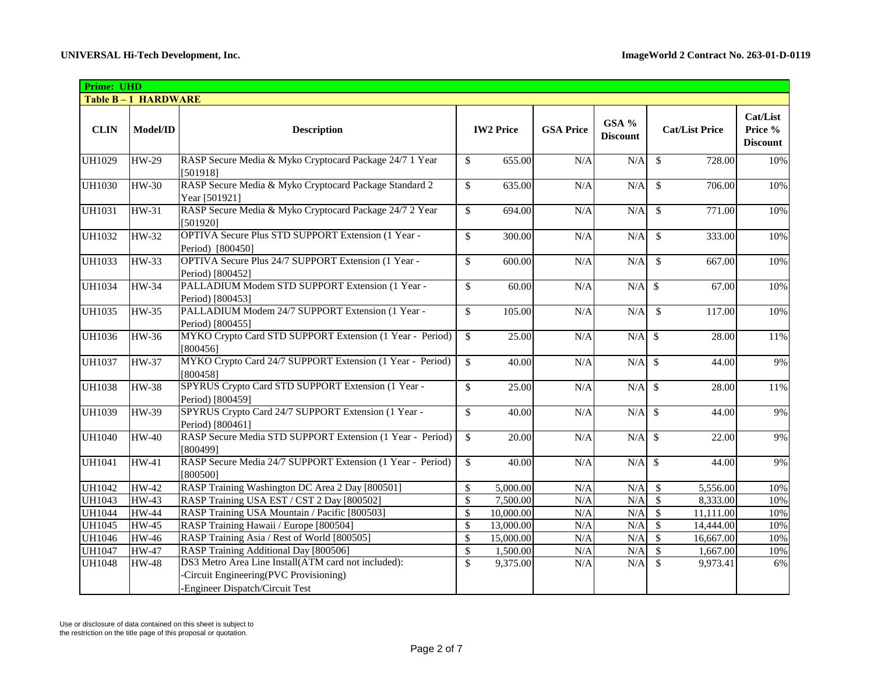| <b>Prime: UHD</b> |                    |                                                                                                                                 |                    |                  |                  |                          |                                |                                        |
|-------------------|--------------------|---------------------------------------------------------------------------------------------------------------------------------|--------------------|------------------|------------------|--------------------------|--------------------------------|----------------------------------------|
|                   | Table B-1 HARDWARE |                                                                                                                                 |                    |                  |                  |                          |                                |                                        |
| <b>CLIN</b>       | <b>Model/ID</b>    | <b>Description</b>                                                                                                              |                    | <b>IW2 Price</b> | <b>GSA Price</b> | GSA %<br><b>Discount</b> | <b>Cat/List Price</b>          | Cat/List<br>Price %<br><b>Discount</b> |
| <b>UH1029</b>     | <b>HW-29</b>       | RASP Secure Media & Myko Cryptocard Package 24/7 1 Year<br>[501918]                                                             | \$                 | 655.00           | N/A              | N/A                      | $\mathbb{S}$<br>728.00         | 10%                                    |
| <b>UH1030</b>     | $HW-30$            | RASP Secure Media & Myko Cryptocard Package Standard 2<br>Year [501921]                                                         | \$                 | 635.00           | N/A              | N/A                      | <sup>\$</sup><br>706.00        | 10%                                    |
| <b>UH1031</b>     | HW-31              | RASP Secure Media & Myko Cryptocard Package 24/7 2 Year<br>[501920]                                                             | $\mathcal{S}$      | 694.00           | N/A              | N/A                      | <sup>\$</sup><br>771.00        | 10%                                    |
| UH1032            | HW-32              | OPTIVA Secure Plus STD SUPPORT Extension (1 Year -<br>Period) [800450]                                                          | \$                 | 300.00           | N/A              | N/A                      | $\mathbb{S}$<br>333.00         | 10%                                    |
| <b>UH1033</b>     | HW-33              | OPTIVA Secure Plus 24/7 SUPPORT Extension (1 Year -<br>Period) [800452]                                                         | \$                 | 600.00           | N/A              | N/A                      | $\mathbb{S}$<br>667.00         | 10%                                    |
| <b>UH1034</b>     | <b>HW-34</b>       | PALLADIUM Modem STD SUPPORT Extension (1 Year -<br>Period) [800453]                                                             | \$                 | 60.00            | N/A              | $N/A$ \$                 | 67.00                          | 10%                                    |
| <b>UH1035</b>     | <b>HW-35</b>       | PALLADIUM Modem 24/7 SUPPORT Extension (1 Year -<br>Period) [800455]                                                            | $\mathsf{\$}$      | 105.00           | N/A              | N/A                      | $\mathbb{S}$<br>117.00         | 10%                                    |
| <b>UH1036</b>     | <b>HW-36</b>       | MYKO Crypto Card STD SUPPORT Extension (1 Year - Period)<br>[800456]                                                            | \$                 | 25.00            | N/A              | N/A                      | $\mathbf{\hat{s}}$<br>28.00    | 11%                                    |
| <b>UH1037</b>     | <b>HW-37</b>       | MYKO Crypto Card 24/7 SUPPORT Extension (1 Year - Period)<br>[800458]                                                           | \$                 | 40.00            | N/A              | $N/A$ \$                 | 44.00                          | 9%                                     |
| <b>UH1038</b>     | <b>HW-38</b>       | SPYRUS Crypto Card STD SUPPORT Extension (1 Year -<br>Period) [800459]                                                          | $\mathbf{s}$       | 25.00            | N/A              | N/A                      | $\mathcal{S}$<br>28.00         | 11%                                    |
| <b>UH1039</b>     | <b>HW-39</b>       | SPYRUS Crypto Card 24/7 SUPPORT Extension (1 Year -<br>Period) [800461]                                                         | $\mathcal{S}$      | 40.00            | N/A              | N/A                      | $\mathcal{S}$<br>44.00         | 9%                                     |
| <b>UH1040</b>     | $HW-40$            | RASP Secure Media STD SUPPORT Extension (1 Year - Period)<br>[800499]                                                           | $\mathcal{S}$      | 20.00            | N/A              | $N/A$ \$                 | 22.00                          | 9%                                     |
| UH1041            | HW-41              | RASP Secure Media 24/7 SUPPORT Extension (1 Year - Period)<br>[800500]                                                          | $\mathbf{\hat{s}}$ | 40.00            | N/A              | N/A                      | $\mathcal{S}$<br>44.00         | 9%                                     |
| UH1042            | <b>HW-42</b>       | RASP Training Washington DC Area 2 Day [800501]                                                                                 | $\mathbb{S}$       | 5,000.00         | N/A              | N/A                      | \$<br>5,556.00                 | 10%                                    |
| UH1043            | <b>HW-43</b>       | RASP Training USA EST / CST 2 Day [800502]                                                                                      | \$                 | 7,500.00         | N/A              | N/A                      | \$<br>8,333.00                 | 10%                                    |
| <b>UH1044</b>     | <b>HW-44</b>       | RASP Training USA Mountain / Pacific [800503]                                                                                   | $\sqrt$            | 10,000.00        | N/A              | N/A                      | $\mathcal{S}$<br>11,111.00     | 10%                                    |
| <b>UH1045</b>     | <b>HW-45</b>       | RASP Training Hawaii / Europe [800504]                                                                                          | \$                 | 13,000.00        | N/A              | N/A                      | $\sqrt{3}$<br>14,444.00        | 10%                                    |
| <b>UH1046</b>     | <b>HW-46</b>       | RASP Training Asia / Rest of World [800505]                                                                                     | $\mathsf{\$}$      | 15,000.00        | N/A              | N/A                      | $\mathcal{S}$<br>16,667.00     | 10%                                    |
| <b>UH1047</b>     | <b>HW-47</b>       | RASP Training Additional Day [800506]                                                                                           | $\mathbb{S}$       | 1,500.00         | N/A              | N/A                      | $\mathbf{\hat{S}}$<br>1,667.00 | 10%                                    |
| <b>UH1048</b>     | <b>HW-48</b>       | DS3 Metro Area Line Install(ATM card not included):<br>Circuit Engineering(PVC Provisioning)<br>-Engineer Dispatch/Circuit Test | \$                 | 9,375.00         | N/A              | N/A                      | $\mathbf{\hat{S}}$<br>9,973.41 | 6%                                     |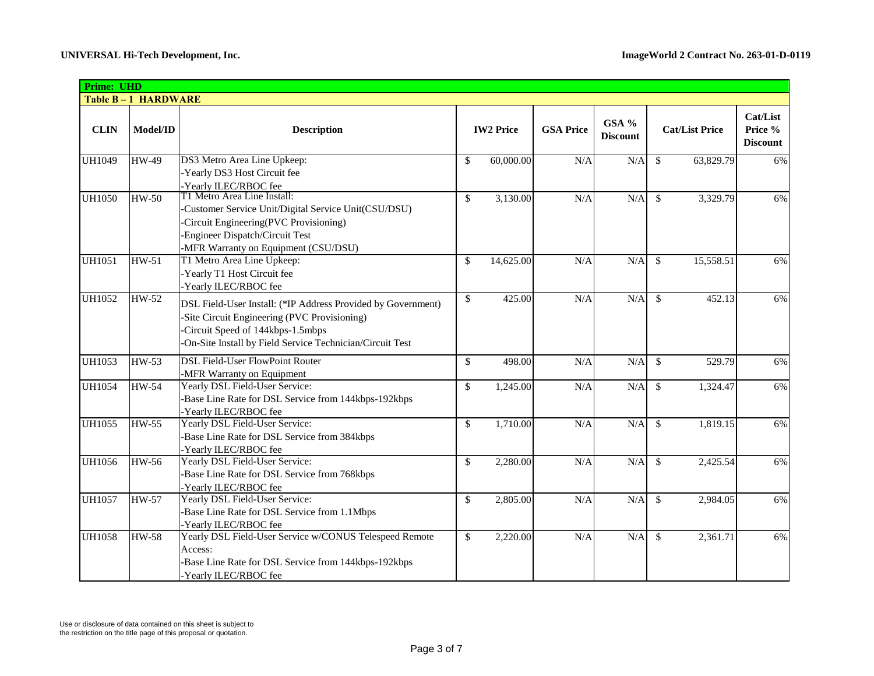| <b>Prime: UHD</b> |                    |                                                                                                                                                                                                                |               |                  |                  |                          |                            |                                               |
|-------------------|--------------------|----------------------------------------------------------------------------------------------------------------------------------------------------------------------------------------------------------------|---------------|------------------|------------------|--------------------------|----------------------------|-----------------------------------------------|
|                   | Table B-1 HARDWARE |                                                                                                                                                                                                                |               |                  |                  |                          |                            |                                               |
| <b>CLIN</b>       | Model/ID           | <b>Description</b>                                                                                                                                                                                             |               | <b>IW2 Price</b> | <b>GSA Price</b> | GSA %<br><b>Discount</b> | <b>Cat/List Price</b>      | <b>Cat/List</b><br>Price %<br><b>Discount</b> |
| <b>UH1049</b>     | <b>HW-49</b>       | DS3 Metro Area Line Upkeep:<br>-Yearly DS3 Host Circuit fee<br>-Yearly ILEC/RBOC fee                                                                                                                           | \$            | 60,000.00        | N/A              | N/A                      | $\mathbb{S}$<br>63,829.79  | 6%                                            |
| <b>UH1050</b>     | $HW-50$            | T1 Metro Area Line Install:<br>-Customer Service Unit/Digital Service Unit(CSU/DSU)<br>-Circuit Engineering(PVC Provisioning)<br>-Engineer Dispatch/Circuit Test<br>-MFR Warranty on Equipment (CSU/DSU)       | \$            | 3,130.00         | N/A              | N/A                      | 3,329.79<br>$\mathcal{S}$  | 6%                                            |
| <b>UH1051</b>     | HW-51              | T1 Metro Area Line Upkeep:<br>-Yearly T1 Host Circuit fee<br>-Yearly ILEC/RBOC fee                                                                                                                             | \$            | 14,625.00        | N/A              | N/A                      | $\mathcal{S}$<br>15,558.51 | 6%                                            |
| <b>UH1052</b>     | <b>HW-52</b>       | DSL Field-User Install: (*IP Address Provided by Government)<br>-Site Circuit Engineering (PVC Provisioning)<br>-Circuit Speed of 144kbps-1.5mbps<br>-On-Site Install by Field Service Technician/Circuit Test | \$            | 425.00           | N/A              | N/A                      | \$<br>452.13               | 6%                                            |
| UH1053            | HW-53              | <b>DSL Field-User FlowPoint Router</b><br>-MFR Warranty on Equipment                                                                                                                                           | $\mathbb{S}$  | 498.00           | N/A              | N/A                      | \$<br>529.79               | 6%                                            |
| <b>UH1054</b>     | <b>HW-54</b>       | Yearly DSL Field-User Service:<br>Base Line Rate for DSL Service from 144kbps-192kbps<br>-Yearly ILEC/RBOC fee                                                                                                 | $\mathbb{S}$  | 1,245.00         | N/A              | N/A                      | $\mathbb{S}$<br>1,324.47   | 6%                                            |
| <b>UH1055</b>     | $HW-55$            | Yearly DSL Field-User Service:<br>-Base Line Rate for DSL Service from 384kbps<br>-Yearly ILEC/RBOC fee                                                                                                        | \$            | 1,710.00         | N/A              | N/A                      | $\mathbb{S}$<br>1,819.15   | 6%                                            |
| <b>UH1056</b>     | HW-56              | Yearly DSL Field-User Service:<br>-Base Line Rate for DSL Service from 768kbps<br>-Yearly ILEC/RBOC fee                                                                                                        | \$            | 2,280.00         | N/A              | N/A                      | $\mathbb{S}$<br>2,425.54   | 6%                                            |
| <b>UH1057</b>     | <b>HW-57</b>       | Yearly DSL Field-User Service:<br>-Base Line Rate for DSL Service from 1.1Mbps<br>-Yearly ILEC/RBOC fee                                                                                                        | $\mathbf{\$}$ | 2,805.00         | N/A              | N/A                      | $\mathcal{S}$<br>2,984.05  | 6%                                            |
| <b>UH1058</b>     | <b>HW-58</b>       | Yearly DSL Field-User Service w/CONUS Telespeed Remote<br>Access:<br>-Base Line Rate for DSL Service from 144kbps-192kbps<br>-Yearly ILEC/RBOC fee                                                             | \$            | 2,220.00         | N/A              | N/A                      | \$<br>2,361.71             | 6%                                            |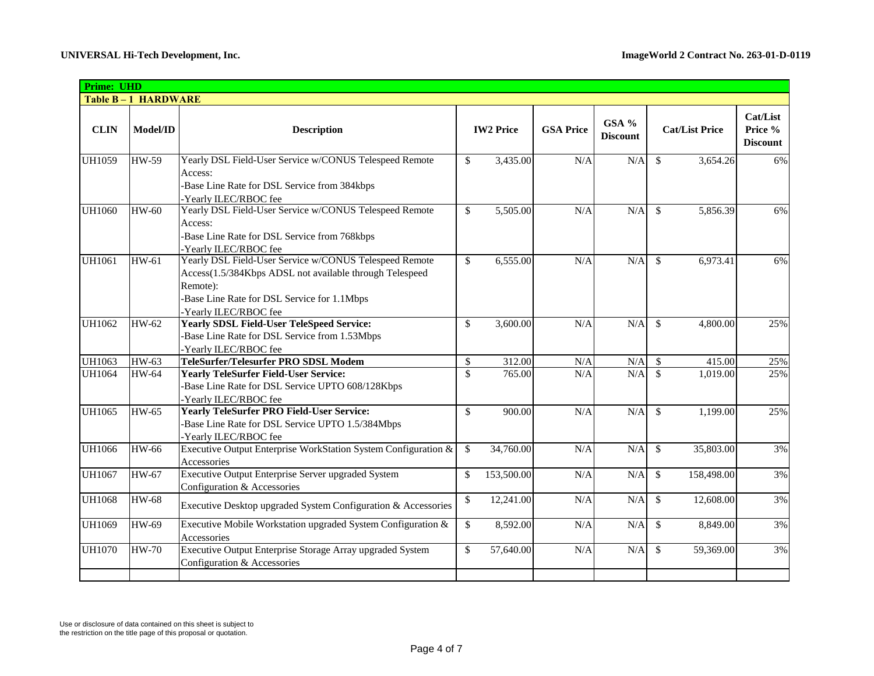| <b>Prime: UHD</b> |                    |                                                                                                                                                                                                       |              |                  |                  |                          |               |                       |                                               |
|-------------------|--------------------|-------------------------------------------------------------------------------------------------------------------------------------------------------------------------------------------------------|--------------|------------------|------------------|--------------------------|---------------|-----------------------|-----------------------------------------------|
|                   | Table B-1 HARDWARE |                                                                                                                                                                                                       |              |                  |                  |                          |               |                       |                                               |
| <b>CLIN</b>       | Model/ID           | <b>Description</b>                                                                                                                                                                                    |              | <b>IW2 Price</b> | <b>GSA Price</b> | GSA %<br><b>Discount</b> |               | <b>Cat/List Price</b> | <b>Cat/List</b><br>Price %<br><b>Discount</b> |
| <b>UH1059</b>     | <b>HW-59</b>       | Yearly DSL Field-User Service w/CONUS Telespeed Remote<br>Access:<br>-Base Line Rate for DSL Service from 384kbps<br>Yearly ILEC/RBOC fee                                                             | \$           | 3,435.00         | N/A              | N/A                      | \$            | 3,654.26              | 6%                                            |
| <b>UH1060</b>     | <b>HW-60</b>       | Yearly DSL Field-User Service w/CONUS Telespeed Remote<br>Access:<br>-Base Line Rate for DSL Service from 768kbps<br>-Yearly ILEC/RBOC fee                                                            | \$           | 5,505.00         | N/A              | N/A                      | \$            | 5,856.39              | 6%                                            |
| <b>UH1061</b>     | HW-61              | Yearly DSL Field-User Service w/CONUS Telespeed Remote<br>Access(1.5/384Kbps ADSL not available through Telespeed<br>Remote):<br>-Base Line Rate for DSL Service for 1.1Mbps<br>-Yearly ILEC/RBOC fee | \$           | 6,555.00         | N/A              | N/A                      | \$.           | 6,973.41              | 6%                                            |
| <b>UH1062</b>     | HW-62              | <b>Yearly SDSL Field-User TeleSpeed Service:</b><br>-Base Line Rate for DSL Service from 1.53Mbps<br>-Yearly ILEC/RBOC fee                                                                            | \$           | 3,600.00         | N/A              | N/A                      | $\mathcal{S}$ | 4,800.00              | 25%                                           |
| UH1063            | $HW-63$            | TeleSurfer/Telesurfer PRO SDSL Modem                                                                                                                                                                  | $\mathbb{S}$ | 312.00           | N/A              | N/A                      | \$            | 415.00                | 25%                                           |
| <b>UH1064</b>     | <b>HW-64</b>       | <b>Yearly TeleSurfer Field-User Service:</b><br>-Base Line Rate for DSL Service UPTO 608/128Kbps<br>-Yearly ILEC/RBOC fee                                                                             | \$           | 765.00           | N/A              | N/A                      | $\mathcal{S}$ | 1,019.00              | 25%                                           |
| <b>UH1065</b>     | <b>HW-65</b>       | <b>Yearly TeleSurfer PRO Field-User Service:</b><br>-Base Line Rate for DSL Service UPTO 1.5/384Mbps<br>-Yearly ILEC/RBOC fee                                                                         | \$           | 900.00           | N/A              | N/A                      | $\mathcal{S}$ | 1,199.00              | 25%                                           |
| <b>UH1066</b>     | HW-66              | Executive Output Enterprise WorkStation System Configuration &<br>Accessories                                                                                                                         | \$           | 34,760.00        | N/A              | N/A                      | \$            | 35,803.00             | 3%                                            |
| <b>UH1067</b>     | <b>HW-67</b>       | <b>Executive Output Enterprise Server upgraded System</b><br>Configuration & Accessories                                                                                                              | \$           | 153,500.00       | N/A              | N/A                      | $\mathbb{S}$  | 158,498.00            | 3%                                            |
| <b>UH1068</b>     | <b>HW-68</b>       | Executive Desktop upgraded System Configuration & Accessories                                                                                                                                         | \$           | 12,241.00        | N/A              | N/A                      | <sup>\$</sup> | 12,608.00             | 3%                                            |
| <b>UH1069</b>     | <b>HW-69</b>       | Executive Mobile Workstation upgraded System Configuration &<br>Accessories                                                                                                                           | \$           | 8,592.00         | N/A              | N/A                      | $\mathbb{S}$  | 8,849.00              | 3%                                            |
| <b>UH1070</b>     | <b>HW-70</b>       | Executive Output Enterprise Storage Array upgraded System<br>Configuration & Accessories                                                                                                              | \$           | 57,640.00        | N/A              | N/A                      | $\mathbb{S}$  | 59,369.00             | 3%                                            |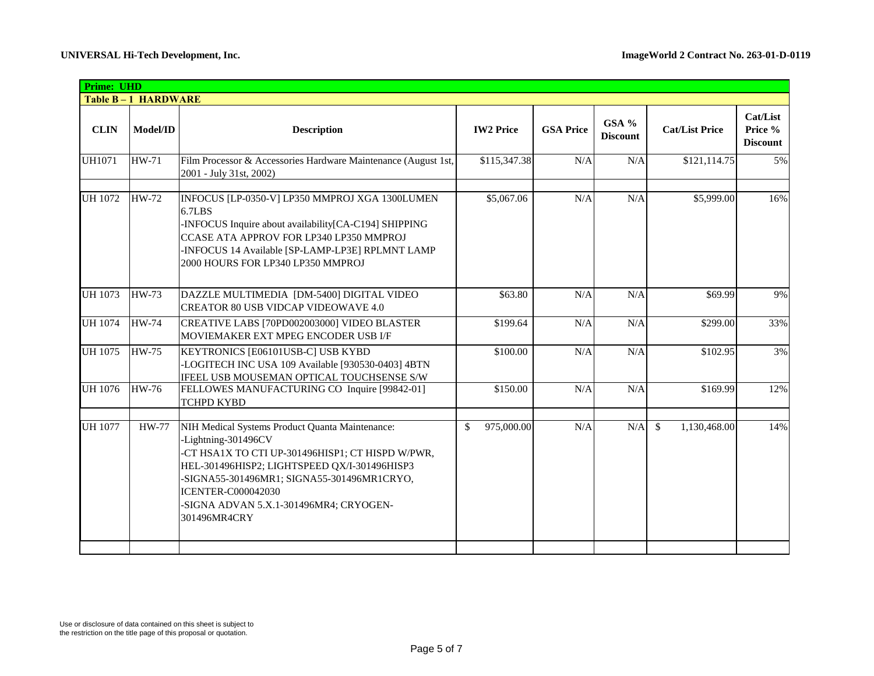| <b>Prime: UHD</b> |                    |                                                                                                                                                                                                                                                                                                                 |                      |                  |                          |                       |                                        |
|-------------------|--------------------|-----------------------------------------------------------------------------------------------------------------------------------------------------------------------------------------------------------------------------------------------------------------------------------------------------------------|----------------------|------------------|--------------------------|-----------------------|----------------------------------------|
|                   | Table B-1 HARDWARE |                                                                                                                                                                                                                                                                                                                 |                      |                  |                          |                       |                                        |
| <b>CLIN</b>       | Model/ID           | <b>Description</b>                                                                                                                                                                                                                                                                                              | <b>IW2 Price</b>     | <b>GSA Price</b> | GSA %<br><b>Discount</b> | <b>Cat/List Price</b> | Cat/List<br>Price %<br><b>Discount</b> |
| <b>UH1071</b>     | <b>HW-71</b>       | Film Processor & Accessories Hardware Maintenance (August 1st,<br>2001 - July 31st, 2002)                                                                                                                                                                                                                       | \$115,347.38         | N/A              | N/A                      | \$121,114.75          | 5%                                     |
| UH 1072           | <b>HW-72</b>       | INFOCUS [LP-0350-V] LP350 MMPROJ XGA 1300LUMEN<br>6.7LBS<br>-INFOCUS Inquire about availability[CA-C194] SHIPPING<br>CCASE ATA APPROV FOR LP340 LP350 MMPROJ<br>INFOCUS 14 Available [SP-LAMP-LP3E] RPLMNT LAMP-<br>2000 HOURS FOR LP340 LP350 MMPROJ                                                           | \$5,067.06           | N/A              | N/A                      | \$5,999.00            | 16%                                    |
| <b>UH</b> 1073    | <b>HW-73</b>       | DAZZLE MULTIMEDIA [DM-5400] DIGITAL VIDEO<br><b>CREATOR 80 USB VIDCAP VIDEOWAVE 4.0</b>                                                                                                                                                                                                                         | \$63.80              | N/A              | N/A                      | \$69.99               | 9%                                     |
| <b>UH 1074</b>    | <b>HW-74</b>       | CREATIVE LABS [70PD002003000] VIDEO BLASTER<br>MOVIEMAKER EXT MPEG ENCODER USB I/F                                                                                                                                                                                                                              | $\overline{$}199.64$ | N/A              | N/A                      | \$299.00              | 33%                                    |
| UH 1075           | <b>HW-75</b>       | KEYTRONICS [E06101USB-C] USB KYBD<br>-LOGITECH INC USA 109 Available [930530-0403] 4BTN<br>IFEEL USB MOUSEMAN OPTICAL TOUCHSENSE S/W                                                                                                                                                                            | \$100.00             | N/A              | N/A                      | \$102.95              | 3%                                     |
| <b>UH 1076</b>    | <b>HW-76</b>       | FELLOWES MANUFACTURING CO Inquire [99842-01]<br><b>TCHPD KYBD</b>                                                                                                                                                                                                                                               | \$150.00             | N/A              | N/A                      | \$169.99              | 12%                                    |
| <b>UH 1077</b>    | <b>HW-77</b>       | NIH Medical Systems Product Quanta Maintenance:<br>-Lightning-301496CV<br>-CT HSA1X TO CTI UP-301496HISP1; CT HISPD W/PWR,<br>HEL-301496HISP2; LIGHTSPEED QX/I-301496HISP3<br>-SIGNA55-301496MR1; SIGNA55-301496MR1CRYO,<br><b>ICENTER-C000042030</b><br>-SIGNA ADVAN 5.X.1-301496MR4; CRYOGEN-<br>301496MR4CRY | 975,000.00<br>\$     | N/A              | N/A                      | \$<br>1,130,468.00    | 14%                                    |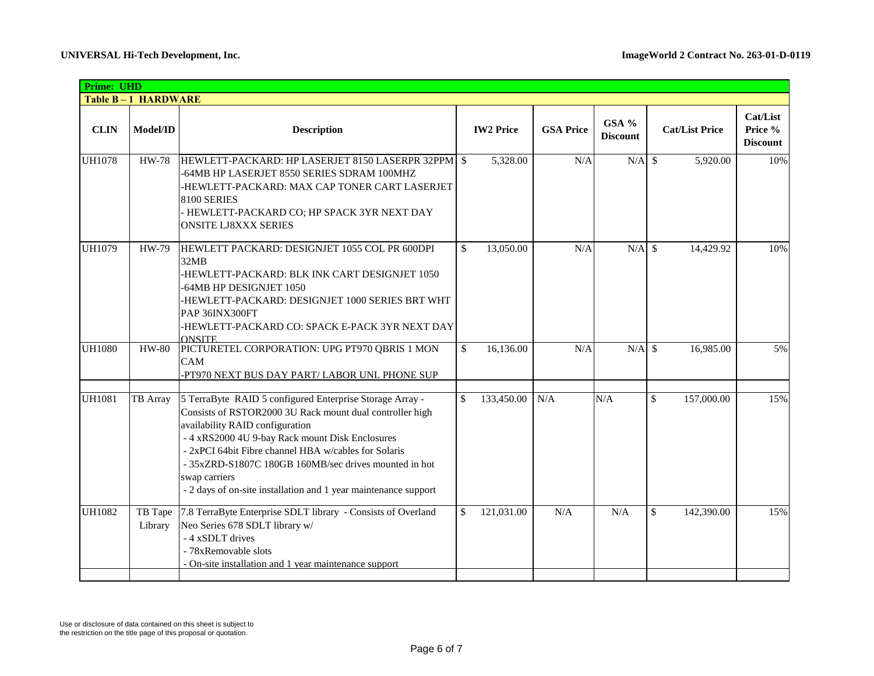| Prime: UHD    |                    |                                                                                                                                                                                                                                                                                                                                                                                                                 |              |                  |                  |                          |                             |                                        |
|---------------|--------------------|-----------------------------------------------------------------------------------------------------------------------------------------------------------------------------------------------------------------------------------------------------------------------------------------------------------------------------------------------------------------------------------------------------------------|--------------|------------------|------------------|--------------------------|-----------------------------|----------------------------------------|
|               | Table B-1 HARDWARE |                                                                                                                                                                                                                                                                                                                                                                                                                 |              |                  |                  |                          |                             |                                        |
| <b>CLIN</b>   | Model/ID           | <b>Description</b>                                                                                                                                                                                                                                                                                                                                                                                              |              | <b>IW2 Price</b> | <b>GSA Price</b> | GSA %<br><b>Discount</b> | <b>Cat/List Price</b>       | Cat/List<br>Price %<br><b>Discount</b> |
| <b>UH1078</b> | <b>HW-78</b>       | HEWLETT-PACKARD: HP LASERJET 8150 LASERPR 32PPM §<br>-64MB HP LASERJET 8550 SERIES SDRAM 100MHZ<br>HEWLETT-PACKARD: MAX CAP TONER CART LASERJET-<br>8100 SERIES<br>HEWLETT-PACKARD CO; HP SPACK 3YR NEXT DAY<br><b>ONSITE LJ8XXX SERIES</b>                                                                                                                                                                     |              | 5,328.00         | N/A              | $N/A$ \$                 | 5,920.00                    | 10%                                    |
| <b>UH1079</b> | HW-79              | HEWLETT PACKARD: DESIGNJET 1055 COL PR 600DPI<br>32MB<br>HEWLETT-PACKARD: BLK INK CART DESIGNJET 1050-<br>-64MB HP DESIGNJET 1050<br>-HEWLETT-PACKARD: DESIGNJET 1000 SERIES BRT WHT<br>PAP 36INX300FT<br>HEWLETT-PACKARD CO: SPACK E-PACK 3YR NEXT DAY<br><b>ONSITE</b>                                                                                                                                        | \$           | 13,050.00        | N/A              | $N/A$ \$                 | 14,429.92                   | 10%                                    |
| <b>UH1080</b> | <b>HW-80</b>       | PICTURETEL CORPORATION: UPG PT970 QBRIS 1 MON<br>CAM<br>PT970 NEXT BUS DAY PART/ LABOR UNL PHONE SUP                                                                                                                                                                                                                                                                                                            | $\mathbb{S}$ | 16,136.00        | N/A              | $N/A$ \$                 | 16,985.00                   | 5%                                     |
| <b>UH1081</b> | <b>TB</b> Array    | 5 TerraByte RAID 5 configured Enterprise Storage Array -<br>Consists of RSTOR2000 3U Rack mount dual controller high<br>availability RAID configuration<br>- 4 xRS2000 4U 9-bay Rack mount Disk Enclosures<br>- 2xPCI 64bit Fibre channel HBA w/cables for Solaris<br>- 35xZRD-S1807C 180GB 160MB/sec drives mounted in hot<br>swap carriers<br>- 2 days of on-site installation and 1 year maintenance support | \$           | 133,450.00       | N/A              | N/A                      | $\mathcal{S}$<br>157,000.00 | 15%                                    |
| <b>UH1082</b> | TB Tape<br>Library | 7.8 TerraByte Enterprise SDLT library - Consists of Overland<br>Neo Series 678 SDLT library w/<br>- 4 xSDLT drives<br>- 78xRemovable slots<br>On-site installation and 1 year maintenance support                                                                                                                                                                                                               | $\mathbb{S}$ | 121,031.00       | N/A              | N/A                      | \$<br>142,390.00            | 15%                                    |